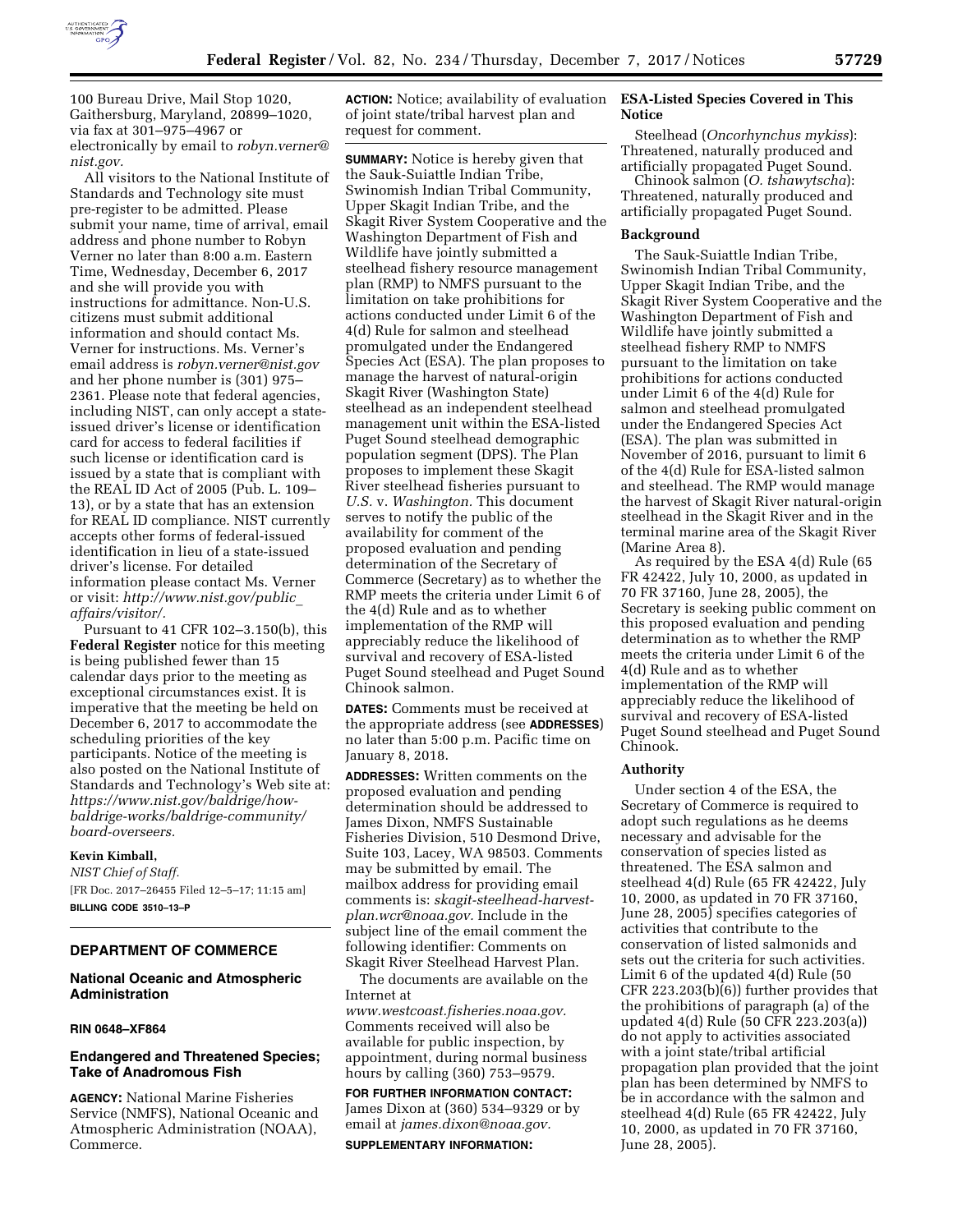

100 Bureau Drive, Mail Stop 1020, Gaithersburg, Maryland, 20899–1020, via fax at 301–975–4967 or electronically by email to *[robyn.verner@](mailto:robyn.verner@nist.gov) [nist.gov.](mailto:robyn.verner@nist.gov)* 

All visitors to the National Institute of Standards and Technology site must pre-register to be admitted. Please submit your name, time of arrival, email address and phone number to Robyn Verner no later than 8:00 a.m. Eastern Time, Wednesday, December 6, 2017 and she will provide you with instructions for admittance. Non-U.S. citizens must submit additional information and should contact Ms. Verner for instructions. Ms. Verner's email address is *[robyn.verner@nist.gov](mailto:robyn.verner@nist.gov)*  and her phone number is (301) 975– 2361. Please note that federal agencies, including NIST, can only accept a stateissued driver's license or identification card for access to federal facilities if such license or identification card is issued by a state that is compliant with the REAL ID Act of 2005 (Pub. L. 109– 13), or by a state that has an extension for REAL ID compliance. NIST currently accepts other forms of federal-issued identification in lieu of a state-issued driver's license. For detailed information please contact Ms. Verner or visit: *[http://www.nist.gov/public](http://www.nist.gov/public_affairs/visitor/)*\_ *[affairs/visitor/.](http://www.nist.gov/public_affairs/visitor/)* 

Pursuant to 41 CFR 102–3.150(b), this **Federal Register** notice for this meeting is being published fewer than 15 calendar days prior to the meeting as exceptional circumstances exist. It is imperative that the meeting be held on December 6, 2017 to accommodate the scheduling priorities of the key participants. Notice of the meeting is also posted on the National Institute of Standards and Technology's Web site at: *[https://www.nist.gov/baldrige/how](https://www.nist.gov/baldrige/how-baldrige-works/baldrige-community/board-overseers)[baldrige-works/baldrige-community/](https://www.nist.gov/baldrige/how-baldrige-works/baldrige-community/board-overseers)  [board-overseers.](https://www.nist.gov/baldrige/how-baldrige-works/baldrige-community/board-overseers)* 

## **Kevin Kimball,**

*NIST Chief of Staff.*  [FR Doc. 2017–26455 Filed 12–5–17; 11:15 am] **BILLING CODE 3510–13–P** 

# **DEPARTMENT OF COMMERCE**

# **National Oceanic and Atmospheric Administration**

#### **RIN 0648–XF864**

# **Endangered and Threatened Species; Take of Anadromous Fish**

**AGENCY:** National Marine Fisheries Service (NMFS), National Oceanic and Atmospheric Administration (NOAA), Commerce.

**ACTION:** Notice; availability of evaluation of joint state/tribal harvest plan and request for comment.

**SUMMARY:** Notice is hereby given that the Sauk-Suiattle Indian Tribe, Swinomish Indian Tribal Community, Upper Skagit Indian Tribe, and the Skagit River System Cooperative and the Washington Department of Fish and Wildlife have jointly submitted a steelhead fishery resource management plan (RMP) to NMFS pursuant to the limitation on take prohibitions for actions conducted under Limit 6 of the 4(d) Rule for salmon and steelhead promulgated under the Endangered Species Act (ESA). The plan proposes to manage the harvest of natural-origin Skagit River (Washington State) steelhead as an independent steelhead management unit within the ESA-listed Puget Sound steelhead demographic population segment (DPS). The Plan proposes to implement these Skagit River steelhead fisheries pursuant to *U.S.* v. *Washington.* This document serves to notify the public of the availability for comment of the proposed evaluation and pending determination of the Secretary of Commerce (Secretary) as to whether the RMP meets the criteria under Limit 6 of the 4(d) Rule and as to whether implementation of the RMP will appreciably reduce the likelihood of survival and recovery of ESA-listed Puget Sound steelhead and Puget Sound Chinook salmon.

**DATES:** Comments must be received at the appropriate address (see **ADDRESSES**) no later than 5:00 p.m. Pacific time on January 8, 2018.

**ADDRESSES:** Written comments on the proposed evaluation and pending determination should be addressed to James Dixon, NMFS Sustainable Fisheries Division, 510 Desmond Drive, Suite 103, Lacey, WA 98503. Comments may be submitted by email. The mailbox address for providing email comments is: *[skagit-steelhead-harvest](mailto:skagit-steelhead-harvest-plan.wcr@noaa.gov)[plan.wcr@noaa.gov.](mailto:skagit-steelhead-harvest-plan.wcr@noaa.gov)* Include in the subject line of the email comment the following identifier: Comments on Skagit River Steelhead Harvest Plan.

The documents are available on the Internet at *[www.westcoast.fisheries.noaa.gov.](http://www.westcoast.fisheries.noaa.gov)*  Comments received will also be available for public inspection, by appointment, during normal business hours by calling (360) 753–9579.

### **FOR FURTHER INFORMATION CONTACT:**

James Dixon at (360) 534–9329 or by email at *[james.dixon@noaa.gov.](mailto:james.dixon@noaa.gov)* 

## **SUPPLEMENTARY INFORMATION:**

# **ESA-Listed Species Covered in This Notice**

Steelhead (*Oncorhynchus mykiss*): Threatened, naturally produced and artificially propagated Puget Sound.

Chinook salmon (*O. tshawytscha*): Threatened, naturally produced and artificially propagated Puget Sound.

#### **Background**

The Sauk-Suiattle Indian Tribe, Swinomish Indian Tribal Community, Upper Skagit Indian Tribe, and the Skagit River System Cooperative and the Washington Department of Fish and Wildlife have jointly submitted a steelhead fishery RMP to NMFS pursuant to the limitation on take prohibitions for actions conducted under Limit 6 of the 4(d) Rule for salmon and steelhead promulgated under the Endangered Species Act (ESA). The plan was submitted in November of 2016, pursuant to limit 6 of the 4(d) Rule for ESA-listed salmon and steelhead. The RMP would manage the harvest of Skagit River natural-origin steelhead in the Skagit River and in the terminal marine area of the Skagit River (Marine Area 8).

As required by the ESA 4(d) Rule (65 FR 42422, July 10, 2000, as updated in 70 FR 37160, June 28, 2005), the Secretary is seeking public comment on this proposed evaluation and pending determination as to whether the RMP meets the criteria under Limit 6 of the 4(d) Rule and as to whether implementation of the RMP will appreciably reduce the likelihood of survival and recovery of ESA-listed Puget Sound steelhead and Puget Sound Chinook.

#### **Authority**

Under section 4 of the ESA, the Secretary of Commerce is required to adopt such regulations as he deems necessary and advisable for the conservation of species listed as threatened. The ESA salmon and steelhead 4(d) Rule (65 FR 42422, July 10, 2000, as updated in 70 FR 37160, June 28, 2005) specifies categories of activities that contribute to the conservation of listed salmonids and sets out the criteria for such activities. Limit 6 of the updated 4(d) Rule (50 CFR 223.203(b)(6)) further provides that the prohibitions of paragraph (a) of the updated 4(d) Rule (50 CFR 223.203(a)) do not apply to activities associated with a joint state/tribal artificial propagation plan provided that the joint plan has been determined by NMFS to be in accordance with the salmon and steelhead 4(d) Rule (65 FR 42422, July 10, 2000, as updated in 70 FR 37160, June 28, 2005).